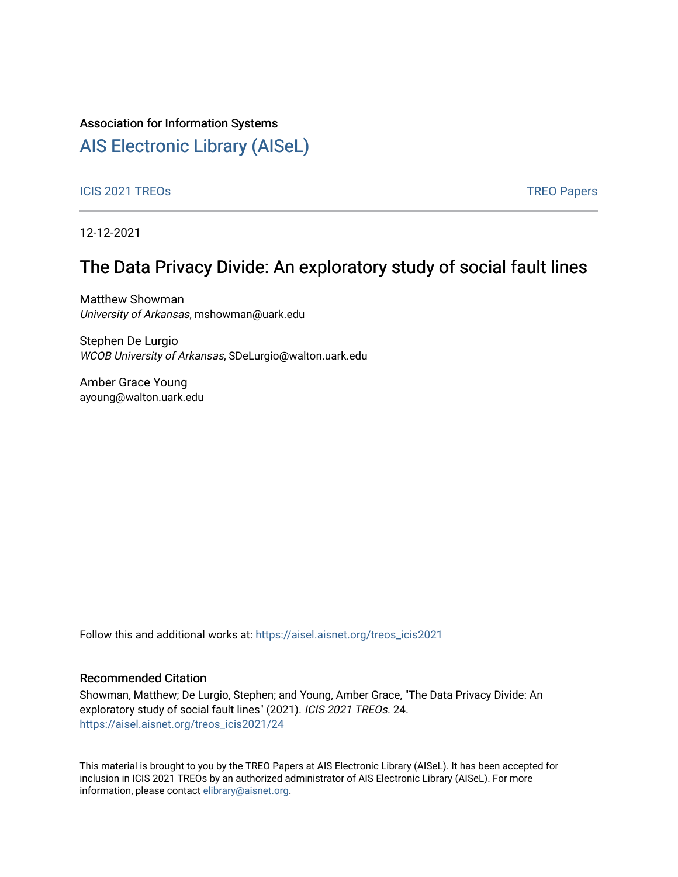#### Association for Information Systems

## [AIS Electronic Library \(AISeL\)](https://aisel.aisnet.org/)

ICIS 2021 TREOS Notes that the contract of the contract of the contract of the contract of the contract of the contract of the contract of the contract of the contract of the contract of the contract of the contract of the

12-12-2021

### The Data Privacy Divide: An exploratory study of social fault lines

Matthew Showman University of Arkansas, mshowman@uark.edu

Stephen De Lurgio WCOB University of Arkansas, SDeLurgio@walton.uark.edu

Amber Grace Young ayoung@walton.uark.edu

Follow this and additional works at: [https://aisel.aisnet.org/treos\\_icis2021](https://aisel.aisnet.org/treos_icis2021?utm_source=aisel.aisnet.org%2Ftreos_icis2021%2F24&utm_medium=PDF&utm_campaign=PDFCoverPages) 

#### Recommended Citation

Showman, Matthew; De Lurgio, Stephen; and Young, Amber Grace, "The Data Privacy Divide: An exploratory study of social fault lines" (2021). ICIS 2021 TREOs. 24. [https://aisel.aisnet.org/treos\\_icis2021/24](https://aisel.aisnet.org/treos_icis2021/24?utm_source=aisel.aisnet.org%2Ftreos_icis2021%2F24&utm_medium=PDF&utm_campaign=PDFCoverPages) 

This material is brought to you by the TREO Papers at AIS Electronic Library (AISeL). It has been accepted for inclusion in ICIS 2021 TREOs by an authorized administrator of AIS Electronic Library (AISeL). For more information, please contact [elibrary@aisnet.org.](mailto:elibrary@aisnet.org%3E)